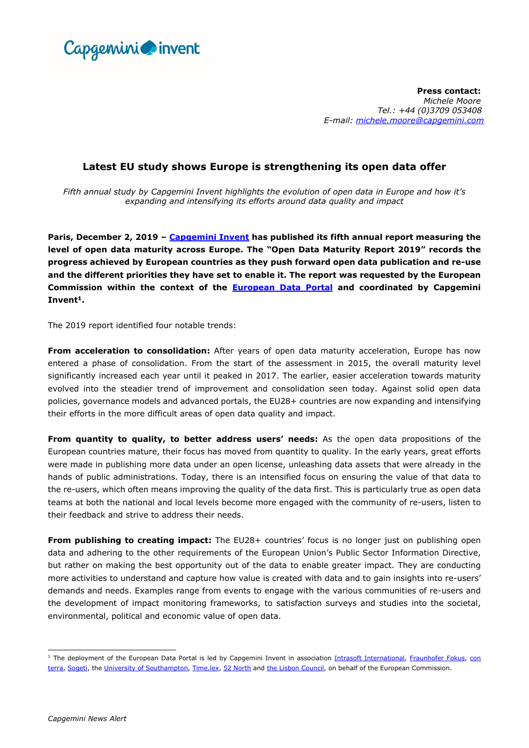

**Press contact:**  *Michele Moore Tel.: +44 (0)3709 053408 E-mail: michele.moore@capgemini.com*

## **Latest EU study shows Europe is strengthening its open data offer**

*Fifth annual study by Capgemini Invent highlights the evolution of open data in Europe and how it's expanding and intensifying its efforts around data quality and impact*

**Paris, December 2, 2019 – [Capgemini Invent](https://www.capgemini.com/service/invent/) has published its fifth annual report measuring the level of open data maturity across Europe. The "Open Data Maturity Report 2019" records the progress achieved by European countries as they push forward open data publication and re-use and the different priorities they have set to enable it. The report was requested by the European Commission within the context of the [European Data Portal](http://www.europeandataportal.eu/) and coordinated by Capgemini Invent<sup>1</sup>.**

The 2019 report identified four notable trends:

**From acceleration to consolidation:** After years of open data maturity acceleration, Europe has now entered a phase of consolidation. From the start of the assessment in 2015, the overall maturity level significantly increased each year until it peaked in 2017. The earlier, easier acceleration towards maturity evolved into the steadier trend of improvement and consolidation seen today. Against solid open data policies, governance models and advanced portals, the EU28+ countries are now expanding and intensifying their efforts in the more difficult areas of open data quality and impact.

**From quantity to quality, to better address users' needs:** As the open data propositions of the European countries mature, their focus has moved from quantity to quality. In the early years, great efforts were made in publishing more data under an open license, unleashing data assets that were already in the hands of public administrations. Today, there is an intensified focus on ensuring the value of that data to the re-users, which often means improving the quality of the data first. This is particularly true as open data teams at both the national and local levels become more engaged with the community of re-users, listen to their feedback and strive to address their needs.

**From publishing to creating impact:** The EU28+ countries' focus is no longer just on publishing open data and adhering to the other requirements of the European Union's Public Sector Information Directive, but rather on making the best opportunity out of the data to enable greater impact. They are conducting more activities to understand and capture how value is created with data and to gain insights into re-users' demands and needs. Examples range from events to engage with the various communities of re-users and the development of impact monitoring frameworks, to satisfaction surveys and studies into the societal, environmental, political and economic value of open data.

<sup>-</sup><sup>1</sup> The deployment of the European Data Portal is led by Capgemini Invent in association [Intrasoft International,](http://www.intrasoft-intl.com/) [Fraunhofer Fokus,](http://www.fokus.fraunhofer.de/en) con [terra,](https://www.conterra.de/) [Sogeti,](http://www.sogeti.com/) the [University of Southampton,](http://www.southampton.ac.uk/) [Time.lex,](http://www.timelex.eu/en) 52 North an[d the Lisbon Council,](https://lisboncouncil.net/) on behalf of the European Commission.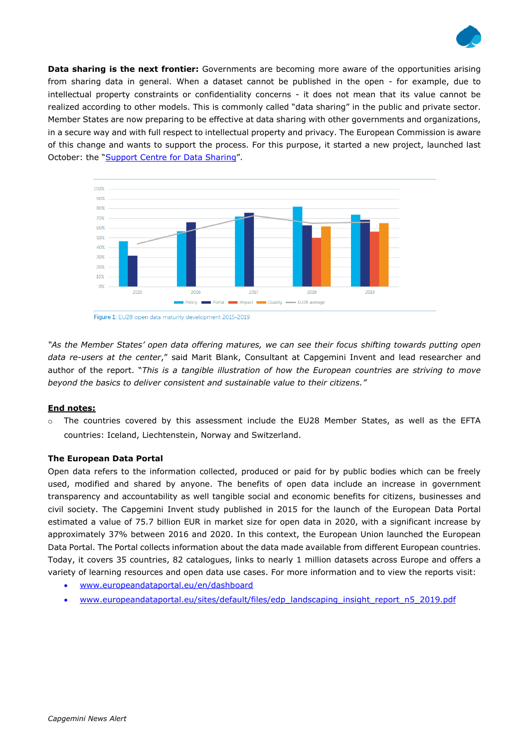

**Data sharing is the next frontier:** Governments are becoming more aware of the opportunities arising from sharing data in general. When a dataset cannot be published in the open - for example, due to intellectual property constraints or confidentiality concerns - it does not mean that its value cannot be realized according to other models. This is commonly called "data sharing" in the public and private sector. Member States are now preparing to be effective at data sharing with other governments and organizations, in a secure way and with full respect to intellectual property and privacy. The European Commission is aware of this change and wants to support the process. For this purpose, it started a new project, launched last October: the "[Support Centre for Data Sharing](https://eudatasharing.eu/)".



Figure 1: EU28 open data maturity development 2015-2019

*"As the Member States' open data offering matures, we can see their focus shifting towards putting open data re-users at the center*," said Marit Blank, Consultant at Capgemini Invent and lead researcher and author of the report. "*This is a tangible illustration of how the European countries are striving to move beyond the basics to deliver consistent and sustainable value to their citizens."*

## **End notes:**

The countries covered by this assessment include the EU28 Member States, as well as the EFTA countries: Iceland, Liechtenstein, Norway and Switzerland.

## **The European Data Portal**

Open data refers to the information collected, produced or paid for by public bodies which can be freely used, modified and shared by anyone. The benefits of open data include an increase in government transparency and accountability as well tangible social and economic benefits for citizens, businesses and civil society. The Capgemini Invent study published in 2015 for the launch of the European Data Portal estimated a value of 75.7 billion EUR in market size for open data in 2020, with a significant increase by approximately 37% between 2016 and 2020. In this context, the European Union launched the European Data Portal. The Portal collects information about the data made available from different European countries. Today, it covers 35 countries, 82 catalogues, links to nearly 1 million datasets across Europe and offers a variety of learning resources and open data use cases. For more information and to view the reports visit:

- [www.europeandataportal.eu/en/dashboard](http://www.europeandataportal.eu/en/dashboard)
- www.europeandataportal.eu/sites/default/files/edp\_landscaping\_insight\_report\_n5\_2019.pdf